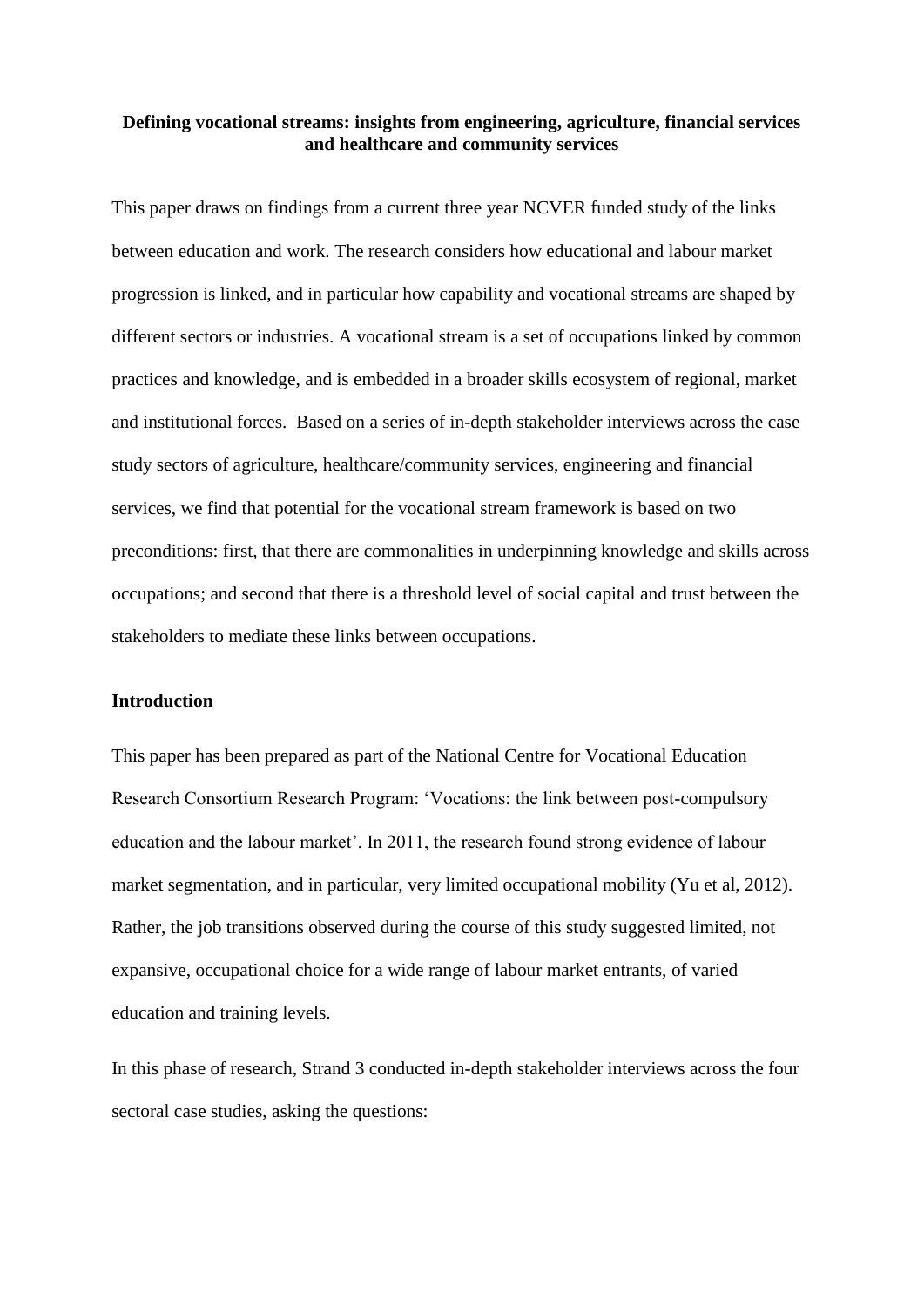#### **Defining vocational streams: insights from engineering, agriculture, financial services and healthcare and community services**

This paper draws on findings from a current three year NCVER funded study of the links between education and work. The research considers how educational and labour market progression is linked, and in particular how capability and vocational streams are shaped by different sectors or industries. A vocational stream is a set of occupations linked by common practices and knowledge, and is embedded in a broader skills ecosystem of regional, market and institutional forces. Based on a series of in-depth stakeholder interviews across the case study sectors of agriculture, healthcare/community services, engineering and financial services, we find that potential for the vocational stream framework is based on two preconditions: first, that there are commonalities in underpinning knowledge and skills across occupations; and second that there is a threshold level of social capital and trust between the stakeholders to mediate these links between occupations.

#### **Introduction**

This paper has been prepared as part of the National Centre for Vocational Education Research Consortium Research Program: 'Vocations: the link between post-compulsory education and the labour market'. In 2011, the research found strong evidence of labour market segmentation, and in particular, very limited occupational mobility (Yu et al, 2012). Rather, the job transitions observed during the course of this study suggested limited, not expansive, occupational choice for a wide range of labour market entrants, of varied education and training levels.

In this phase of research, Strand 3 conducted in-depth stakeholder interviews across the four sectoral case studies, asking the questions: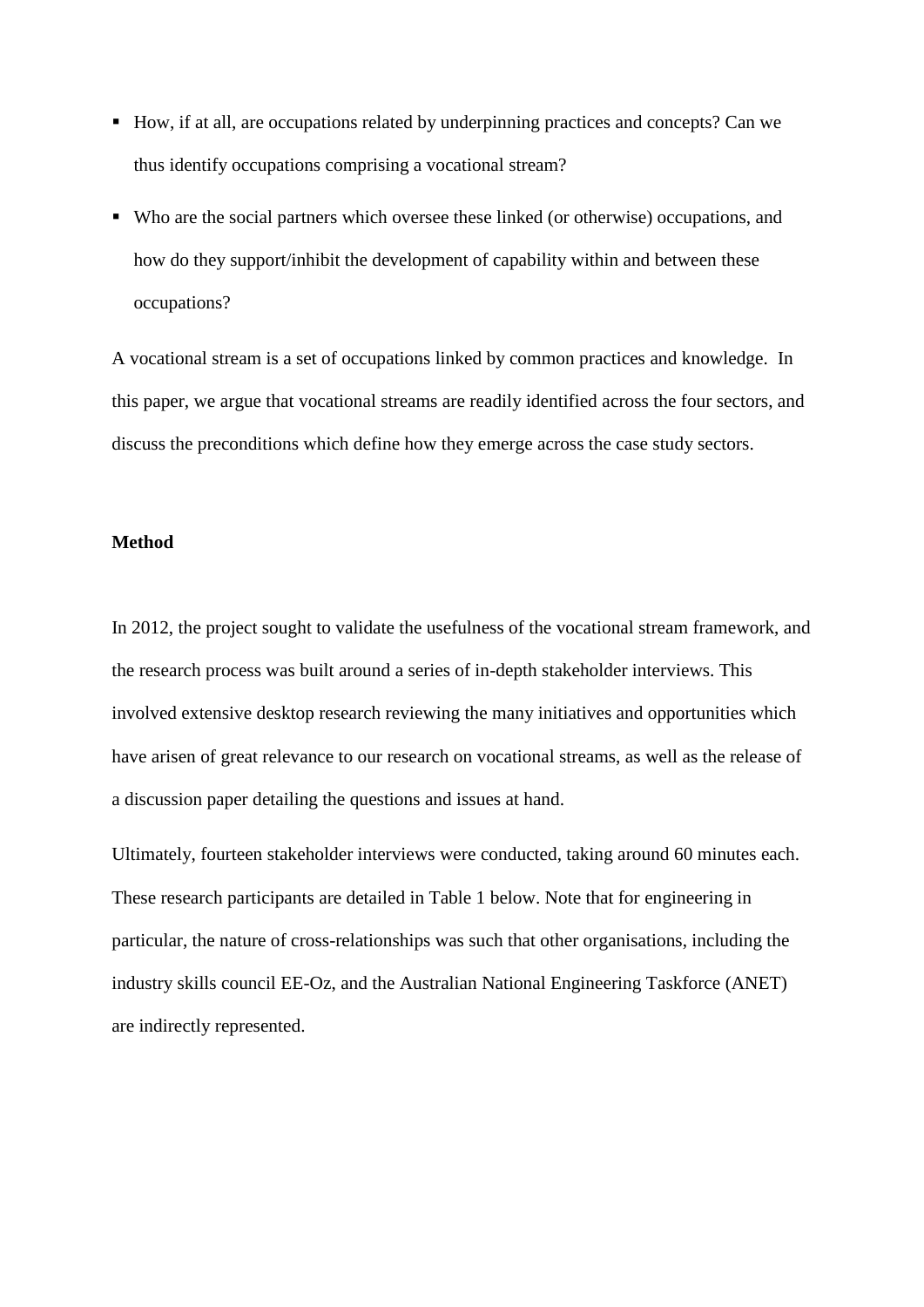- How, if at all, are occupations related by underpinning practices and concepts? Can we thus identify occupations comprising a vocational stream?
- Who are the social partners which oversee these linked (or otherwise) occupations, and how do they support/inhibit the development of capability within and between these occupations?

A vocational stream is a set of occupations linked by common practices and knowledge. In this paper, we argue that vocational streams are readily identified across the four sectors, and discuss the preconditions which define how they emerge across the case study sectors.

## **Method**

In 2012, the project sought to validate the usefulness of the vocational stream framework, and the research process was built around a series of in-depth stakeholder interviews. This involved extensive desktop research reviewing the many initiatives and opportunities which have arisen of great relevance to our research on vocational streams, as well as the release of a discussion paper detailing the questions and issues at hand.

Ultimately, fourteen stakeholder interviews were conducted, taking around 60 minutes each. These research participants are detailed in Table 1 below. Note that for engineering in particular, the nature of cross-relationships was such that other organisations, including the industry skills council EE-Oz, and the Australian National Engineering Taskforce (ANET) are indirectly represented.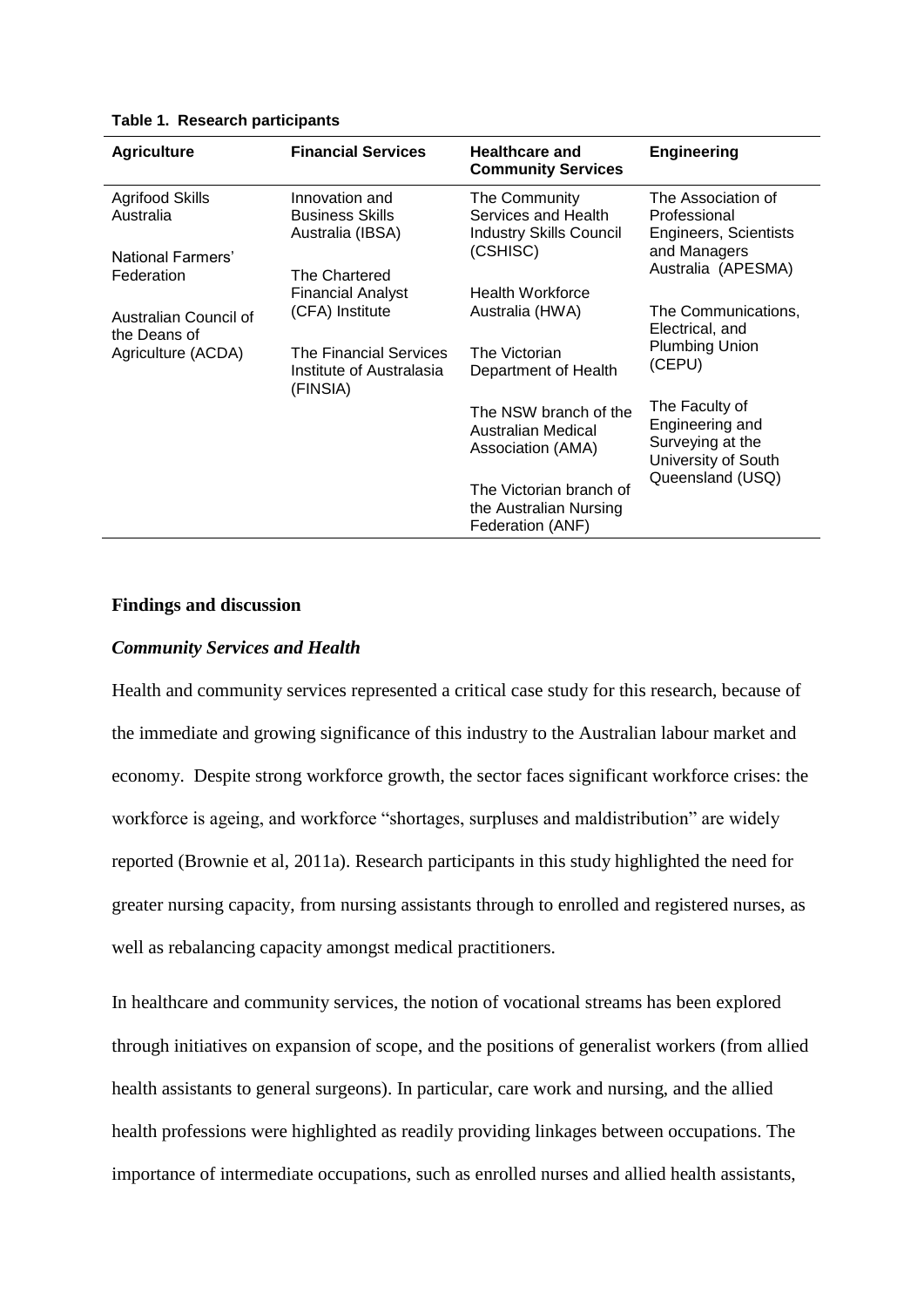| <b>Agriculture</b>                    | <b>Financial Services</b>                                      | <b>Healthcare and</b><br><b>Community Services</b>                     | <b>Engineering</b>                                                                               |
|---------------------------------------|----------------------------------------------------------------|------------------------------------------------------------------------|--------------------------------------------------------------------------------------------------|
| <b>Agrifood Skills</b><br>Australia   | Innovation and<br><b>Business Skills</b><br>Australia (IBSA)   | The Community<br>Services and Health<br><b>Industry Skills Council</b> | The Association of<br>Professional<br>Engineers, Scientists                                      |
| National Farmers'<br>Federation       | The Chartered<br>Financial Analyst                             | (CSHISC)                                                               | and Managers<br>Australia (APESMA)                                                               |
|                                       |                                                                | <b>Health Workforce</b>                                                |                                                                                                  |
| Australian Council of<br>the Deans of | (CFA) Institute                                                | Australia (HWA)                                                        | The Communications,<br>Electrical, and                                                           |
| Agriculture (ACDA)                    | The Financial Services<br>Institute of Australasia<br>(FINSIA) | The Victorian<br>Department of Health                                  | <b>Plumbing Union</b><br>(CEPU)                                                                  |
|                                       |                                                                | The NSW branch of the<br>Australian Medical<br>Association (AMA)       | The Faculty of<br>Engineering and<br>Surveying at the<br>University of South<br>Queensland (USQ) |
|                                       |                                                                | The Victorian branch of<br>the Australian Nursing<br>Federation (ANF)  |                                                                                                  |

**Table 1. Research participants**

#### **Findings and discussion**

#### *Community Services and Health*

Health and community services represented a critical case study for this research, because of the immediate and growing significance of this industry to the Australian labour market and economy. Despite strong workforce growth, the sector faces significant workforce crises: the workforce is ageing, and workforce "shortages, surpluses and maldistribution" are widely reported (Brownie et al, 2011a). Research participants in this study highlighted the need for greater nursing capacity, from nursing assistants through to enrolled and registered nurses, as well as rebalancing capacity amongst medical practitioners.

In healthcare and community services, the notion of vocational streams has been explored through initiatives on expansion of scope, and the positions of generalist workers (from allied health assistants to general surgeons). In particular, care work and nursing, and the allied health professions were highlighted as readily providing linkages between occupations. The importance of intermediate occupations, such as enrolled nurses and allied health assistants,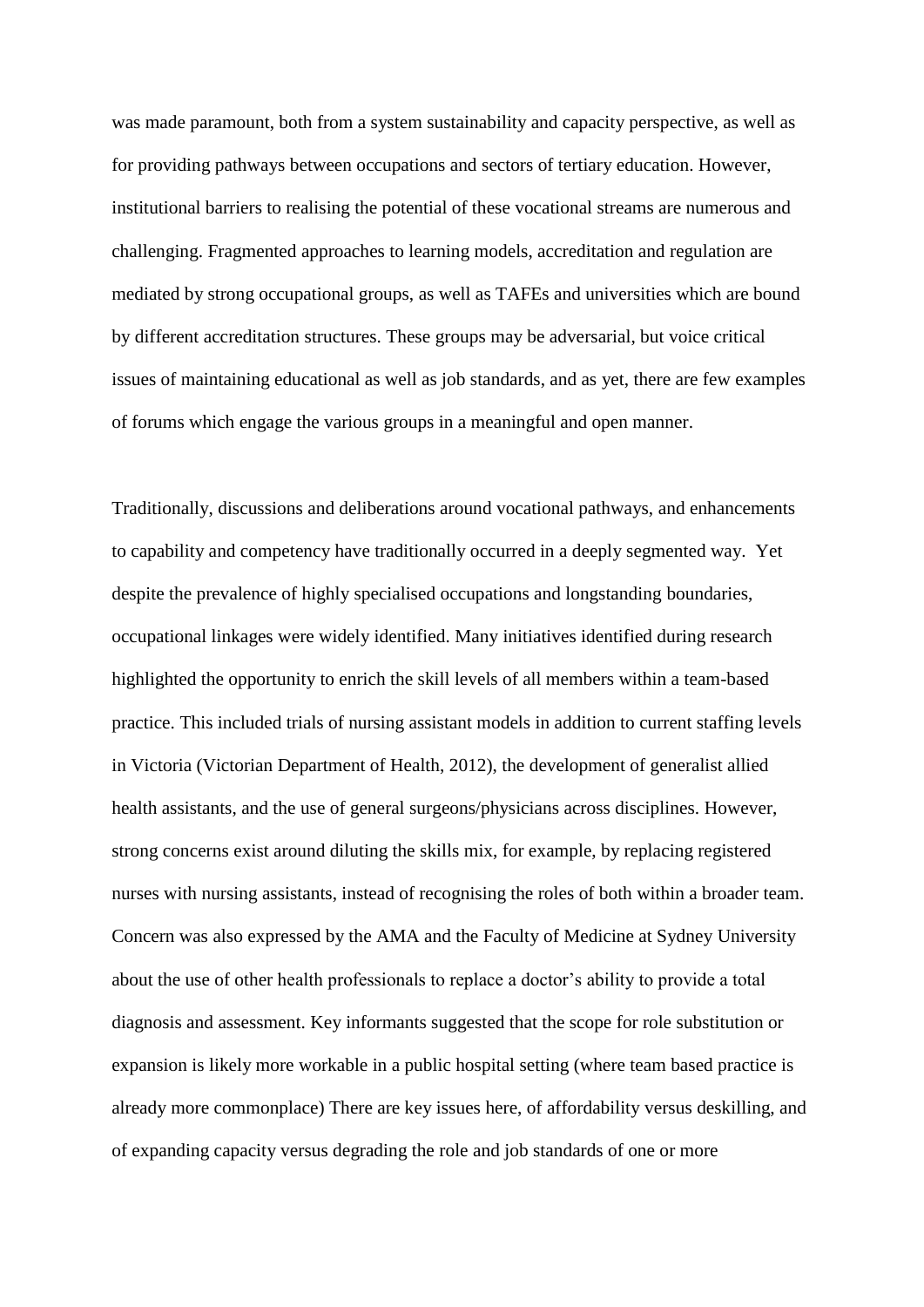was made paramount, both from a system sustainability and capacity perspective, as well as for providing pathways between occupations and sectors of tertiary education. However, institutional barriers to realising the potential of these vocational streams are numerous and challenging. Fragmented approaches to learning models, accreditation and regulation are mediated by strong occupational groups, as well as TAFEs and universities which are bound by different accreditation structures. These groups may be adversarial, but voice critical issues of maintaining educational as well as job standards, and as yet, there are few examples of forums which engage the various groups in a meaningful and open manner.

Traditionally, discussions and deliberations around vocational pathways, and enhancements to capability and competency have traditionally occurred in a deeply segmented way. Yet despite the prevalence of highly specialised occupations and longstanding boundaries, occupational linkages were widely identified. Many initiatives identified during research highlighted the opportunity to enrich the skill levels of all members within a team-based practice. This included trials of nursing assistant models in addition to current staffing levels in Victoria (Victorian Department of Health, 2012), the development of generalist allied health assistants, and the use of general surgeons/physicians across disciplines. However, strong concerns exist around diluting the skills mix, for example, by replacing registered nurses with nursing assistants, instead of recognising the roles of both within a broader team. Concern was also expressed by the AMA and the Faculty of Medicine at Sydney University about the use of other health professionals to replace a doctor's ability to provide a total diagnosis and assessment. Key informants suggested that the scope for role substitution or expansion is likely more workable in a public hospital setting (where team based practice is already more commonplace) There are key issues here, of affordability versus deskilling, and of expanding capacity versus degrading the role and job standards of one or more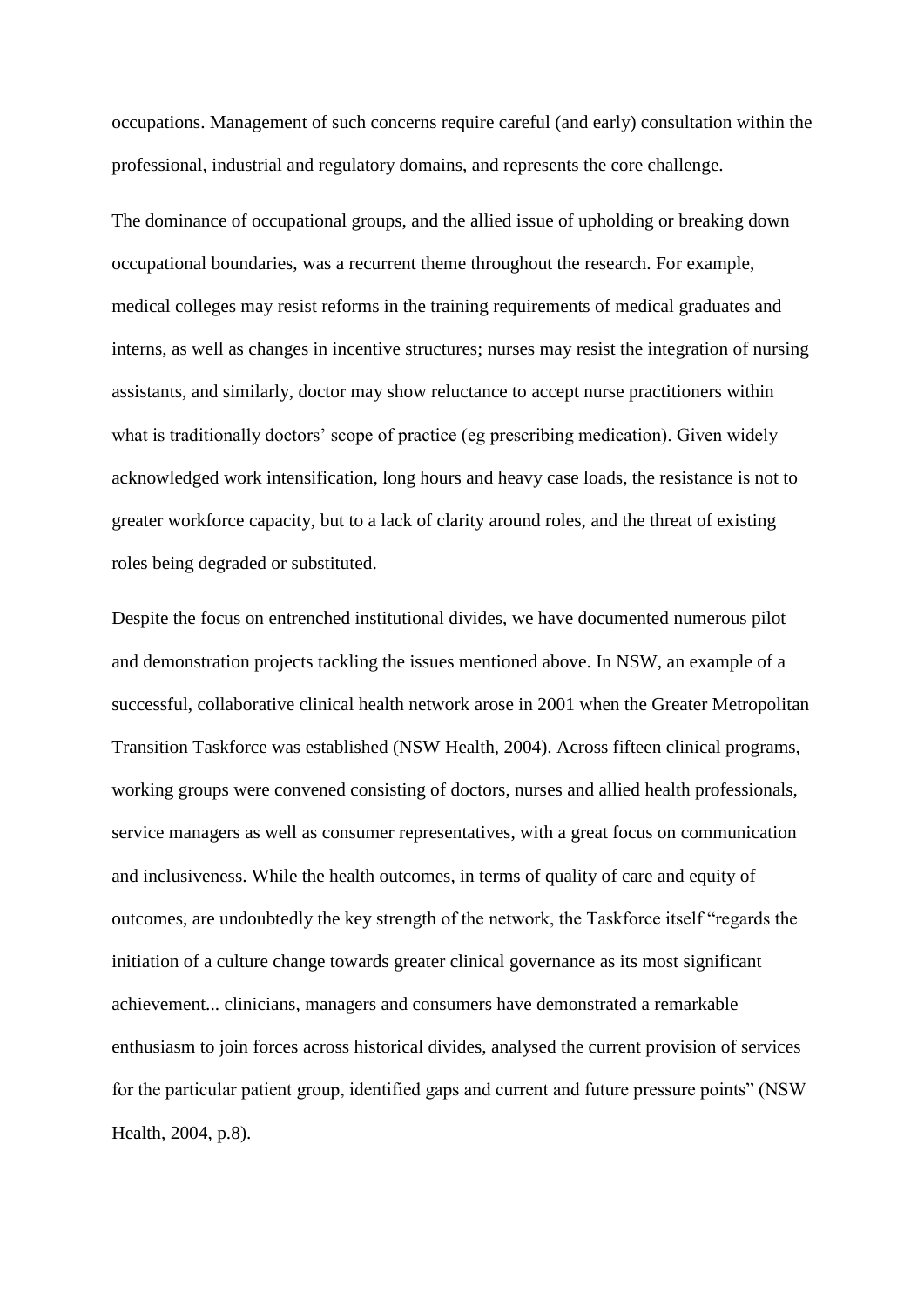occupations. Management of such concerns require careful (and early) consultation within the professional, industrial and regulatory domains, and represents the core challenge.

The dominance of occupational groups, and the allied issue of upholding or breaking down occupational boundaries, was a recurrent theme throughout the research. For example, medical colleges may resist reforms in the training requirements of medical graduates and interns, as well as changes in incentive structures; nurses may resist the integration of nursing assistants, and similarly, doctor may show reluctance to accept nurse practitioners within what is traditionally doctors' scope of practice (eg prescribing medication). Given widely acknowledged work intensification, long hours and heavy case loads, the resistance is not to greater workforce capacity, but to a lack of clarity around roles, and the threat of existing roles being degraded or substituted.

Despite the focus on entrenched institutional divides, we have documented numerous pilot and demonstration projects tackling the issues mentioned above. In NSW, an example of a successful, collaborative clinical health network arose in 2001 when the Greater Metropolitan Transition Taskforce was established (NSW Health, 2004). Across fifteen clinical programs, working groups were convened consisting of doctors, nurses and allied health professionals, service managers as well as consumer representatives, with a great focus on communication and inclusiveness. While the health outcomes, in terms of quality of care and equity of outcomes, are undoubtedly the key strength of the network, the Taskforce itself "regards the initiation of a culture change towards greater clinical governance as its most significant achievement... clinicians, managers and consumers have demonstrated a remarkable enthusiasm to join forces across historical divides, analysed the current provision of services for the particular patient group, identified gaps and current and future pressure points" (NSW Health, 2004, p.8).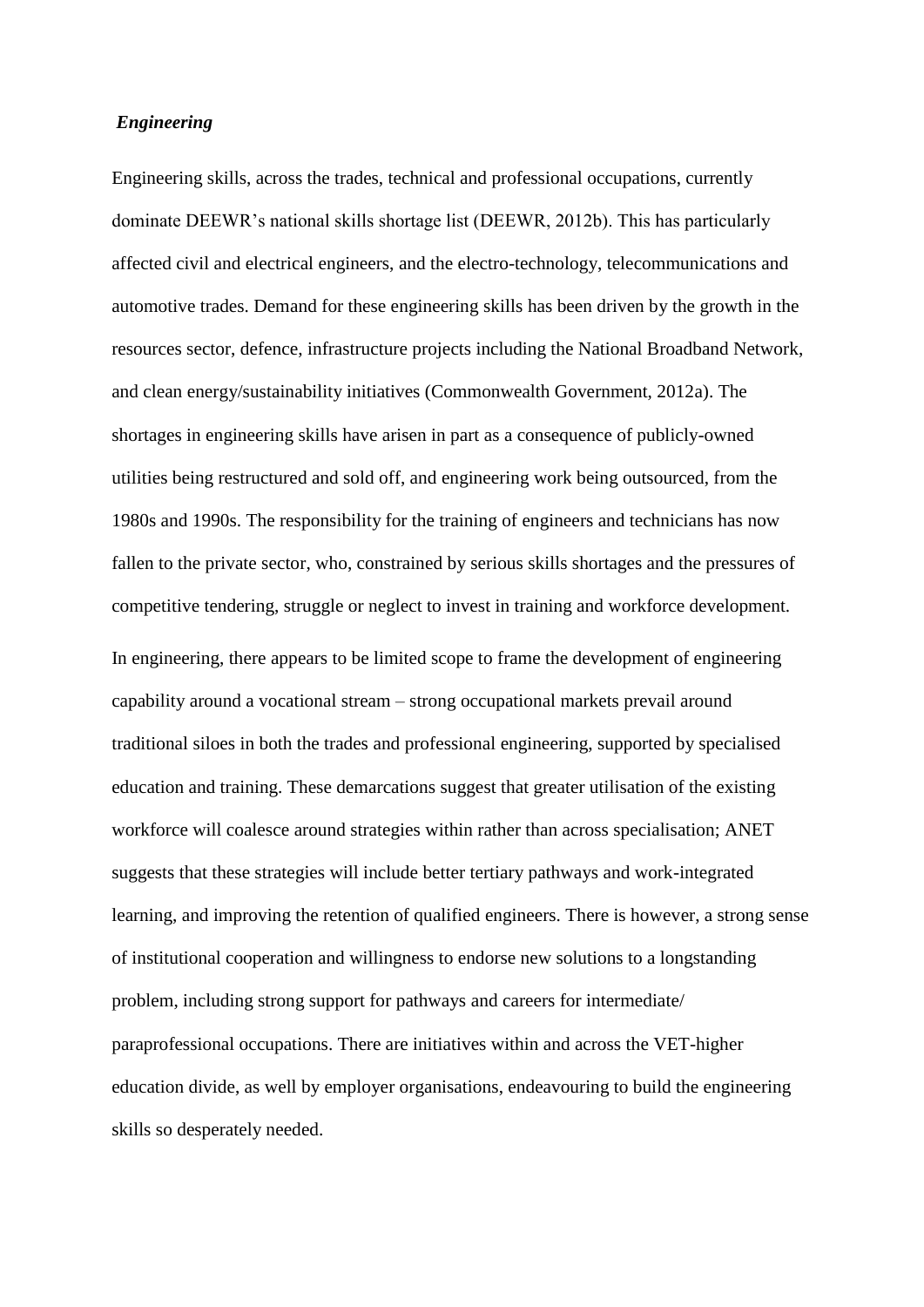# *Engineering*

Engineering skills, across the trades, technical and professional occupations, currently dominate DEEWR's national skills shortage list (DEEWR, 2012b). This has particularly affected civil and electrical engineers, and the electro-technology, telecommunications and automotive trades. Demand for these engineering skills has been driven by the growth in the resources sector, defence, infrastructure projects including the National Broadband Network, and clean energy/sustainability initiatives (Commonwealth Government, 2012a). The shortages in engineering skills have arisen in part as a consequence of publicly-owned utilities being restructured and sold off, and engineering work being outsourced, from the 1980s and 1990s. The responsibility for the training of engineers and technicians has now fallen to the private sector, who, constrained by serious skills shortages and the pressures of competitive tendering, struggle or neglect to invest in training and workforce development. In engineering, there appears to be limited scope to frame the development of engineering capability around a vocational stream – strong occupational markets prevail around traditional siloes in both the trades and professional engineering, supported by specialised education and training. These demarcations suggest that greater utilisation of the existing workforce will coalesce around strategies within rather than across specialisation; ANET suggests that these strategies will include better tertiary pathways and work-integrated learning, and improving the retention of qualified engineers. There is however, a strong sense of institutional cooperation and willingness to endorse new solutions to a longstanding problem, including strong support for pathways and careers for intermediate/ paraprofessional occupations. There are initiatives within and across the VET-higher education divide, as well by employer organisations, endeavouring to build the engineering skills so desperately needed.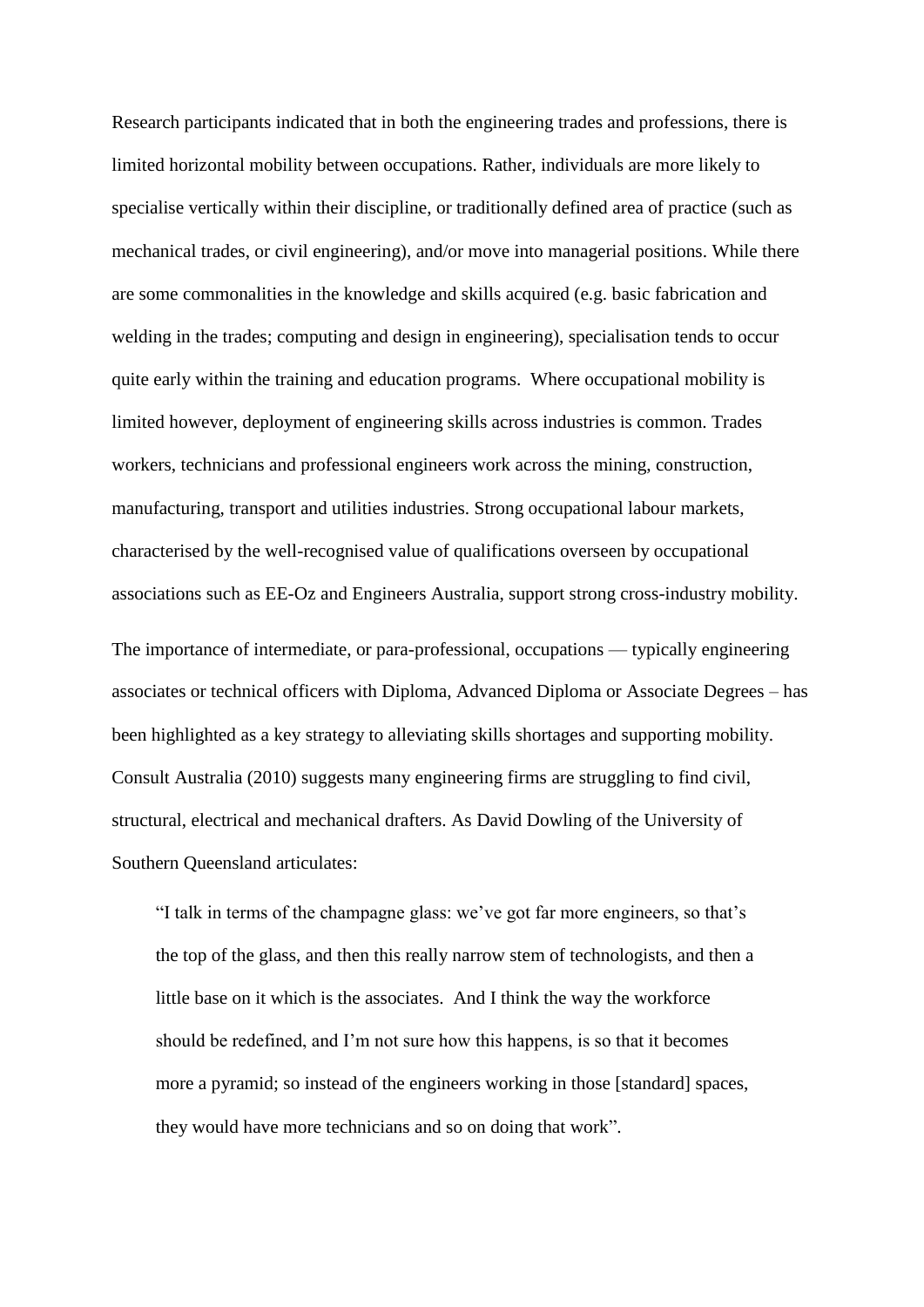Research participants indicated that in both the engineering trades and professions, there is limited horizontal mobility between occupations. Rather, individuals are more likely to specialise vertically within their discipline, or traditionally defined area of practice (such as mechanical trades, or civil engineering), and/or move into managerial positions. While there are some commonalities in the knowledge and skills acquired (e.g. basic fabrication and welding in the trades; computing and design in engineering), specialisation tends to occur quite early within the training and education programs. Where occupational mobility is limited however, deployment of engineering skills across industries is common. Trades workers, technicians and professional engineers work across the mining, construction, manufacturing, transport and utilities industries. Strong occupational labour markets, characterised by the well-recognised value of qualifications overseen by occupational associations such as EE-Oz and Engineers Australia, support strong cross-industry mobility.

The importance of intermediate, or para-professional, occupations — typically engineering associates or technical officers with Diploma, Advanced Diploma or Associate Degrees – has been highlighted as a key strategy to alleviating skills shortages and supporting mobility. Consult Australia (2010) suggests many engineering firms are struggling to find civil, structural, electrical and mechanical drafters. As David Dowling of the University of Southern Queensland articulates:

"I talk in terms of the champagne glass: we've got far more engineers, so that's the top of the glass, and then this really narrow stem of technologists, and then a little base on it which is the associates. And I think the way the workforce should be redefined, and I'm not sure how this happens, is so that it becomes more a pyramid; so instead of the engineers working in those [standard] spaces, they would have more technicians and so on doing that work".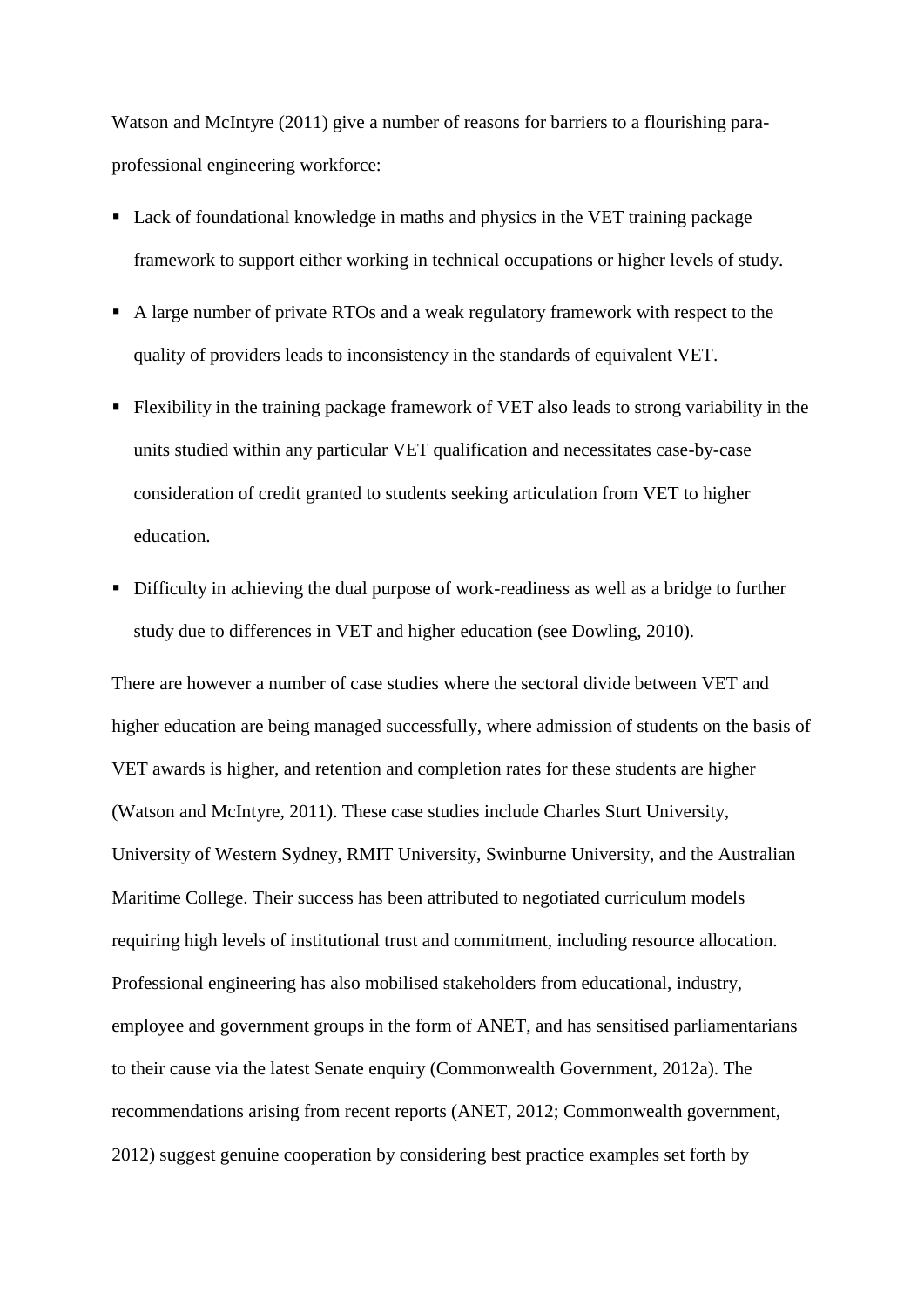Watson and McIntyre (2011) give a number of reasons for barriers to a flourishing paraprofessional engineering workforce:

- Lack of foundational knowledge in maths and physics in the VET training package framework to support either working in technical occupations or higher levels of study.
- A large number of private RTOs and a weak regulatory framework with respect to the quality of providers leads to inconsistency in the standards of equivalent VET.
- Flexibility in the training package framework of VET also leads to strong variability in the units studied within any particular VET qualification and necessitates case-by-case consideration of credit granted to students seeking articulation from VET to higher education.
- Difficulty in achieving the dual purpose of work-readiness as well as a bridge to further study due to differences in VET and higher education (see Dowling, 2010).

There are however a number of case studies where the sectoral divide between VET and higher education are being managed successfully, where admission of students on the basis of VET awards is higher, and retention and completion rates for these students are higher (Watson and McIntyre, 2011). These case studies include Charles Sturt University, University of Western Sydney, RMIT University, Swinburne University, and the Australian Maritime College. Their success has been attributed to negotiated curriculum models requiring high levels of institutional trust and commitment, including resource allocation. Professional engineering has also mobilised stakeholders from educational, industry, employee and government groups in the form of ANET, and has sensitised parliamentarians to their cause via the latest Senate enquiry (Commonwealth Government, 2012a). The recommendations arising from recent reports (ANET, 2012; Commonwealth government, 2012) suggest genuine cooperation by considering best practice examples set forth by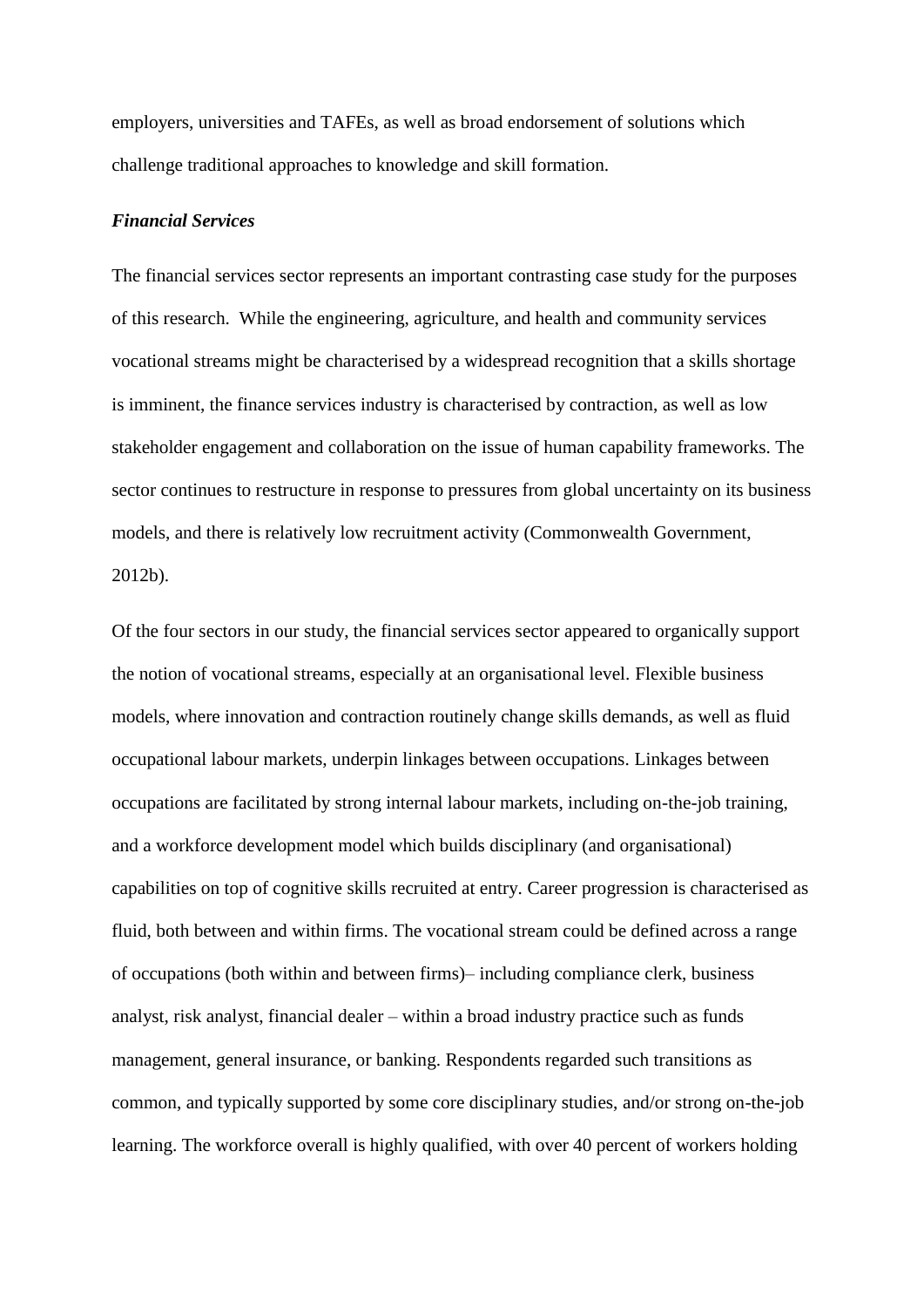employers, universities and TAFEs, as well as broad endorsement of solutions which challenge traditional approaches to knowledge and skill formation.

# *Financial Services*

The financial services sector represents an important contrasting case study for the purposes of this research. While the engineering, agriculture, and health and community services vocational streams might be characterised by a widespread recognition that a skills shortage is imminent, the finance services industry is characterised by contraction, as well as low stakeholder engagement and collaboration on the issue of human capability frameworks. The sector continues to restructure in response to pressures from global uncertainty on its business models, and there is relatively low recruitment activity (Commonwealth Government, 2012b).

Of the four sectors in our study, the financial services sector appeared to organically support the notion of vocational streams, especially at an organisational level. Flexible business models, where innovation and contraction routinely change skills demands, as well as fluid occupational labour markets, underpin linkages between occupations. Linkages between occupations are facilitated by strong internal labour markets, including on-the-job training, and a workforce development model which builds disciplinary (and organisational) capabilities on top of cognitive skills recruited at entry. Career progression is characterised as fluid, both between and within firms. The vocational stream could be defined across a range of occupations (both within and between firms)– including compliance clerk, business analyst, risk analyst, financial dealer – within a broad industry practice such as funds management, general insurance, or banking. Respondents regarded such transitions as common, and typically supported by some core disciplinary studies, and/or strong on-the-job learning. The workforce overall is highly qualified, with over 40 percent of workers holding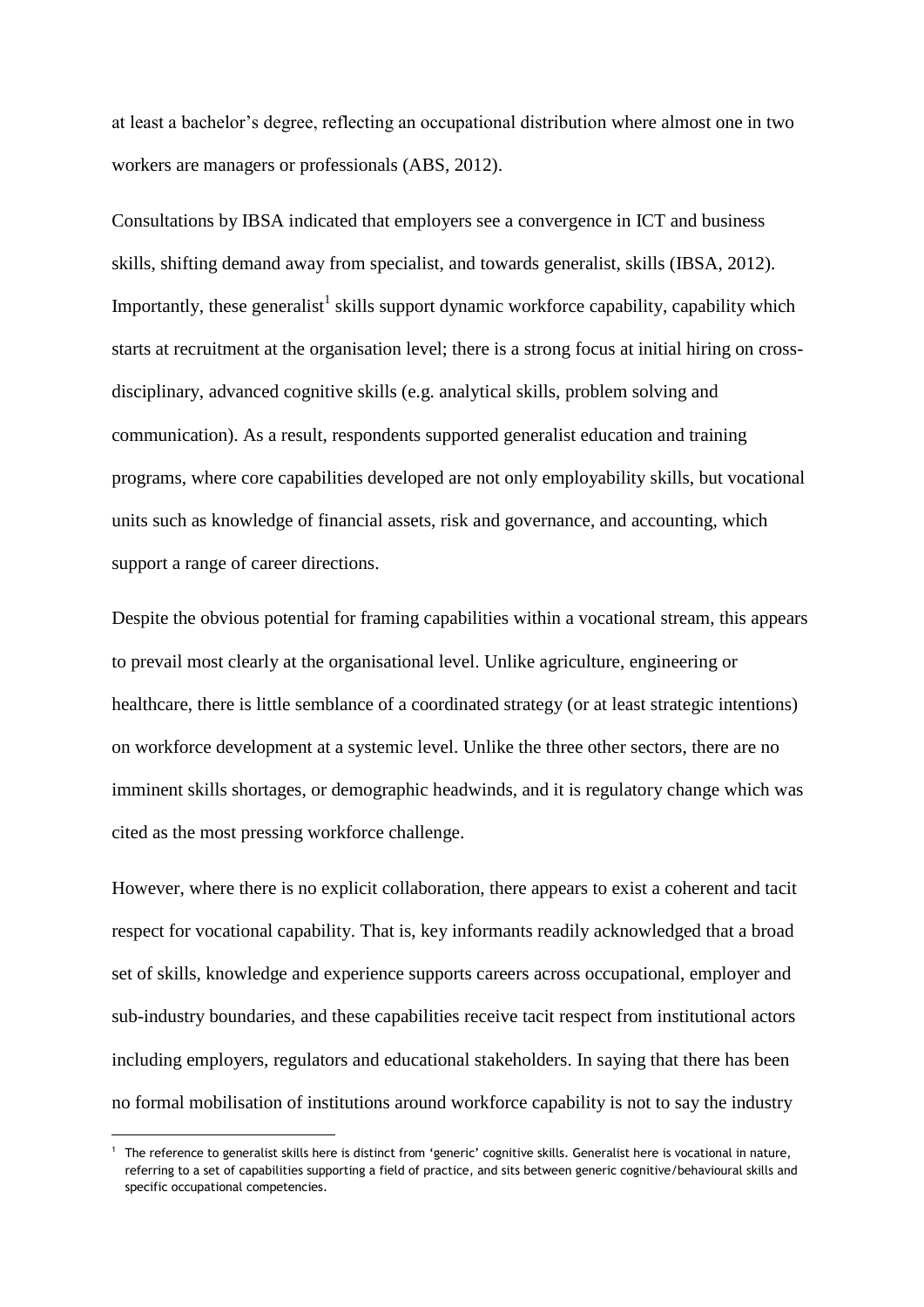at least a bachelor's degree, reflecting an occupational distribution where almost one in two workers are managers or professionals (ABS, 2012).

Consultations by IBSA indicated that employers see a convergence in ICT and business skills, shifting demand away from specialist, and towards generalist, skills (IBSA, 2012). Importantly, these generalist<sup>1</sup> skills support dynamic workforce capability, capability which starts at recruitment at the organisation level; there is a strong focus at initial hiring on crossdisciplinary, advanced cognitive skills (e.g. analytical skills, problem solving and communication). As a result, respondents supported generalist education and training programs, where core capabilities developed are not only employability skills, but vocational units such as knowledge of financial assets, risk and governance, and accounting, which support a range of career directions.

Despite the obvious potential for framing capabilities within a vocational stream, this appears to prevail most clearly at the organisational level. Unlike agriculture, engineering or healthcare, there is little semblance of a coordinated strategy (or at least strategic intentions) on workforce development at a systemic level. Unlike the three other sectors, there are no imminent skills shortages, or demographic headwinds, and it is regulatory change which was cited as the most pressing workforce challenge.

However, where there is no explicit collaboration, there appears to exist a coherent and tacit respect for vocational capability. That is, key informants readily acknowledged that a broad set of skills, knowledge and experience supports careers across occupational, employer and sub-industry boundaries, and these capabilities receive tacit respect from institutional actors including employers, regulators and educational stakeholders. In saying that there has been no formal mobilisation of institutions around workforce capability is not to say the industry

1

The reference to generalist skills here is distinct from 'generic' cognitive skills. Generalist here is vocational in nature, referring to a set of capabilities supporting a field of practice, and sits between generic cognitive/behavioural skills and specific occupational competencies.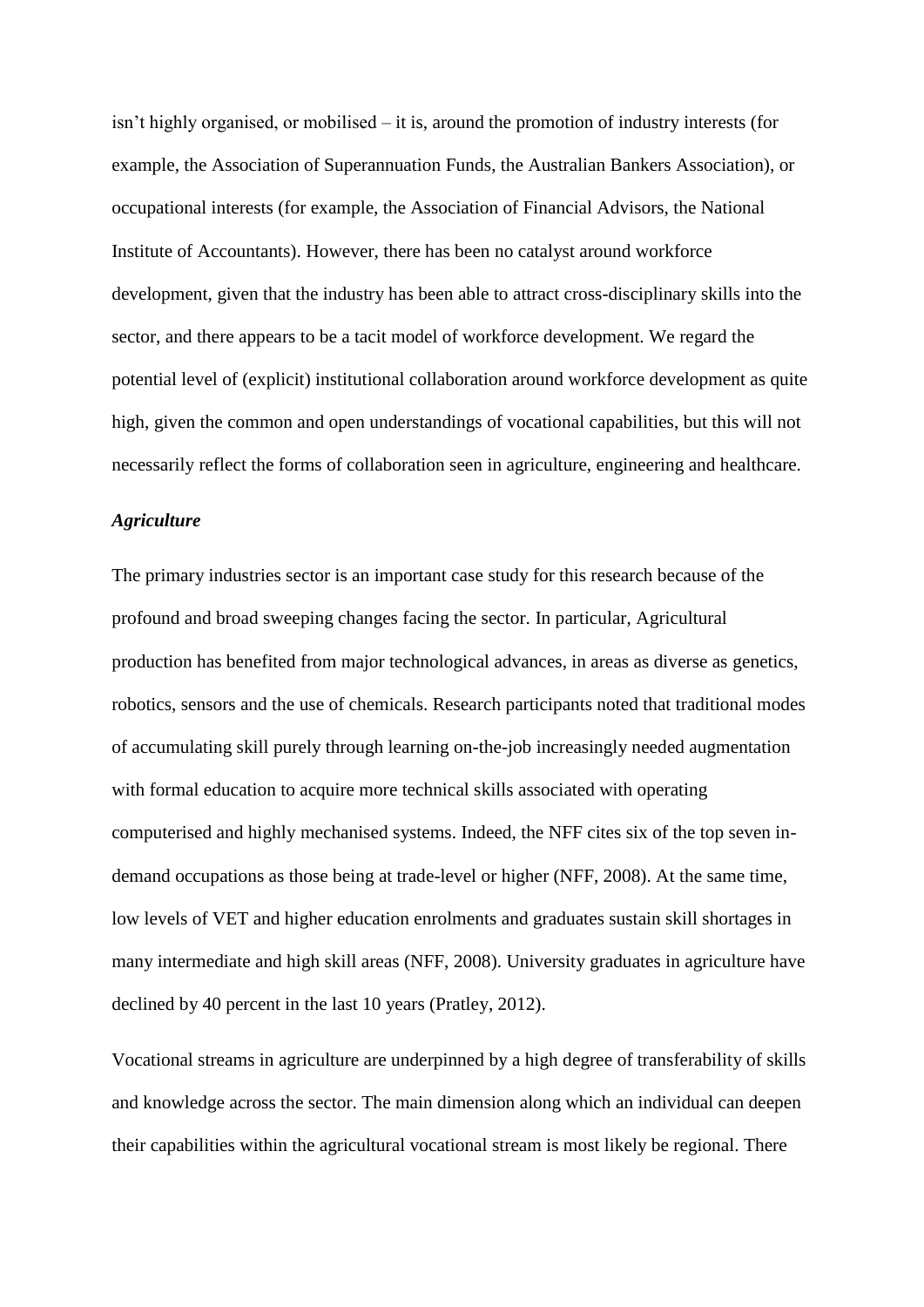isn't highly organised, or mobilised – it is, around the promotion of industry interests (for example, the Association of Superannuation Funds, the Australian Bankers Association), or occupational interests (for example, the Association of Financial Advisors, the National Institute of Accountants). However, there has been no catalyst around workforce development, given that the industry has been able to attract cross-disciplinary skills into the sector, and there appears to be a tacit model of workforce development. We regard the potential level of (explicit) institutional collaboration around workforce development as quite high, given the common and open understandings of vocational capabilities, but this will not necessarily reflect the forms of collaboration seen in agriculture, engineering and healthcare.

## *Agriculture*

The primary industries sector is an important case study for this research because of the profound and broad sweeping changes facing the sector. In particular, Agricultural production has benefited from major technological advances, in areas as diverse as genetics, robotics, sensors and the use of chemicals. Research participants noted that traditional modes of accumulating skill purely through learning on-the-job increasingly needed augmentation with formal education to acquire more technical skills associated with operating computerised and highly mechanised systems. Indeed, the NFF cites six of the top seven indemand occupations as those being at trade-level or higher (NFF, 2008). At the same time, low levels of VET and higher education enrolments and graduates sustain skill shortages in many intermediate and high skill areas (NFF, 2008). University graduates in agriculture have declined by 40 percent in the last 10 years (Pratley, 2012).

Vocational streams in agriculture are underpinned by a high degree of transferability of skills and knowledge across the sector. The main dimension along which an individual can deepen their capabilities within the agricultural vocational stream is most likely be regional. There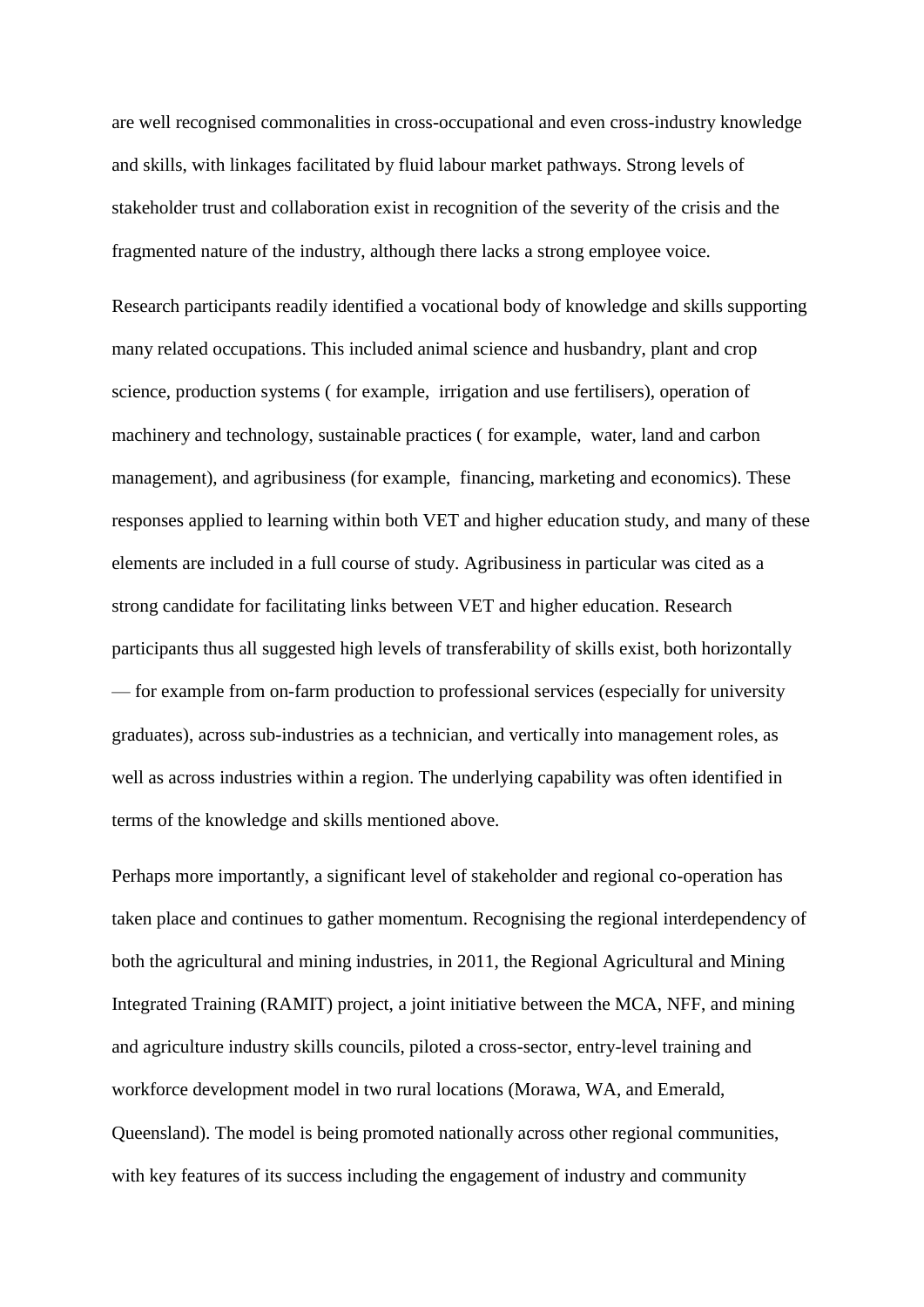are well recognised commonalities in cross-occupational and even cross-industry knowledge and skills, with linkages facilitated by fluid labour market pathways. Strong levels of stakeholder trust and collaboration exist in recognition of the severity of the crisis and the fragmented nature of the industry, although there lacks a strong employee voice.

Research participants readily identified a vocational body of knowledge and skills supporting many related occupations. This included animal science and husbandry, plant and crop science, production systems ( for example, irrigation and use fertilisers), operation of machinery and technology, sustainable practices ( for example, water, land and carbon management), and agribusiness (for example, financing, marketing and economics). These responses applied to learning within both VET and higher education study, and many of these elements are included in a full course of study. Agribusiness in particular was cited as a strong candidate for facilitating links between VET and higher education. Research participants thus all suggested high levels of transferability of skills exist, both horizontally — for example from on-farm production to professional services (especially for university graduates), across sub-industries as a technician, and vertically into management roles, as well as across industries within a region. The underlying capability was often identified in terms of the knowledge and skills mentioned above.

Perhaps more importantly, a significant level of stakeholder and regional co-operation has taken place and continues to gather momentum. Recognising the regional interdependency of both the agricultural and mining industries, in 2011, the Regional Agricultural and Mining Integrated Training (RAMIT) project, a joint initiative between the MCA, NFF, and mining and agriculture industry skills councils, piloted a cross-sector, entry-level training and workforce development model in two rural locations (Morawa, WA, and Emerald, Queensland). The model is being promoted nationally across other regional communities, with key features of its success including the engagement of industry and community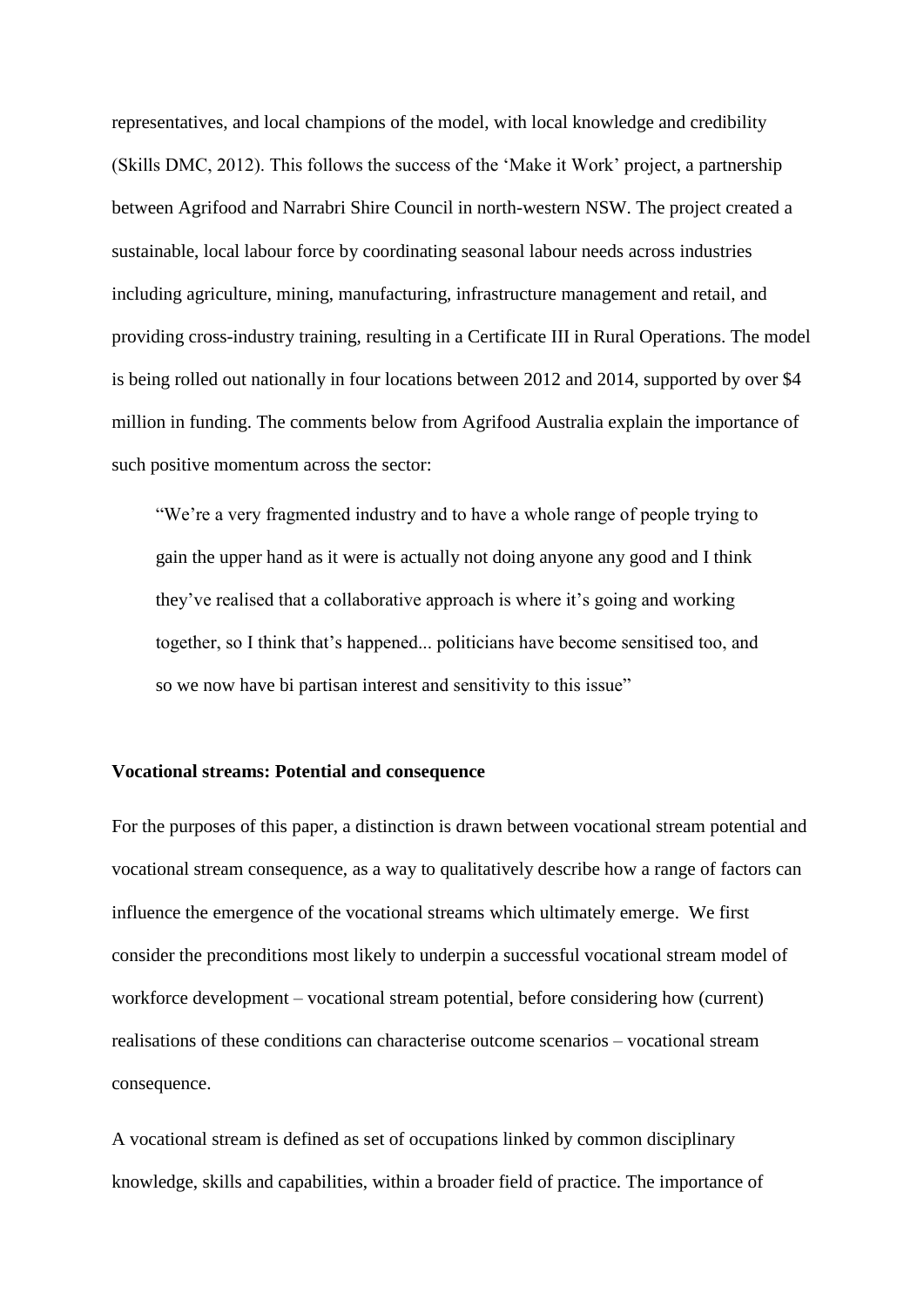representatives, and local champions of the model, with local knowledge and credibility (Skills DMC, 2012). This follows the success of the 'Make it Work' project, a partnership between Agrifood and Narrabri Shire Council in north-western NSW. The project created a sustainable, local labour force by coordinating seasonal labour needs across industries including agriculture, mining, manufacturing, infrastructure management and retail, and providing cross-industry training, resulting in a Certificate III in Rural Operations. The model is being rolled out nationally in four locations between 2012 and 2014, supported by over \$4 million in funding. The comments below from Agrifood Australia explain the importance of such positive momentum across the sector:

"We're a very fragmented industry and to have a whole range of people trying to gain the upper hand as it were is actually not doing anyone any good and I think they've realised that a collaborative approach is where it's going and working together, so I think that's happened... politicians have become sensitised too, and so we now have bi partisan interest and sensitivity to this issue"

#### **Vocational streams: Potential and consequence**

For the purposes of this paper, a distinction is drawn between vocational stream potential and vocational stream consequence, as a way to qualitatively describe how a range of factors can influence the emergence of the vocational streams which ultimately emerge. We first consider the preconditions most likely to underpin a successful vocational stream model of workforce development – vocational stream potential, before considering how (current) realisations of these conditions can characterise outcome scenarios – vocational stream consequence.

A vocational stream is defined as set of occupations linked by common disciplinary knowledge, skills and capabilities, within a broader field of practice. The importance of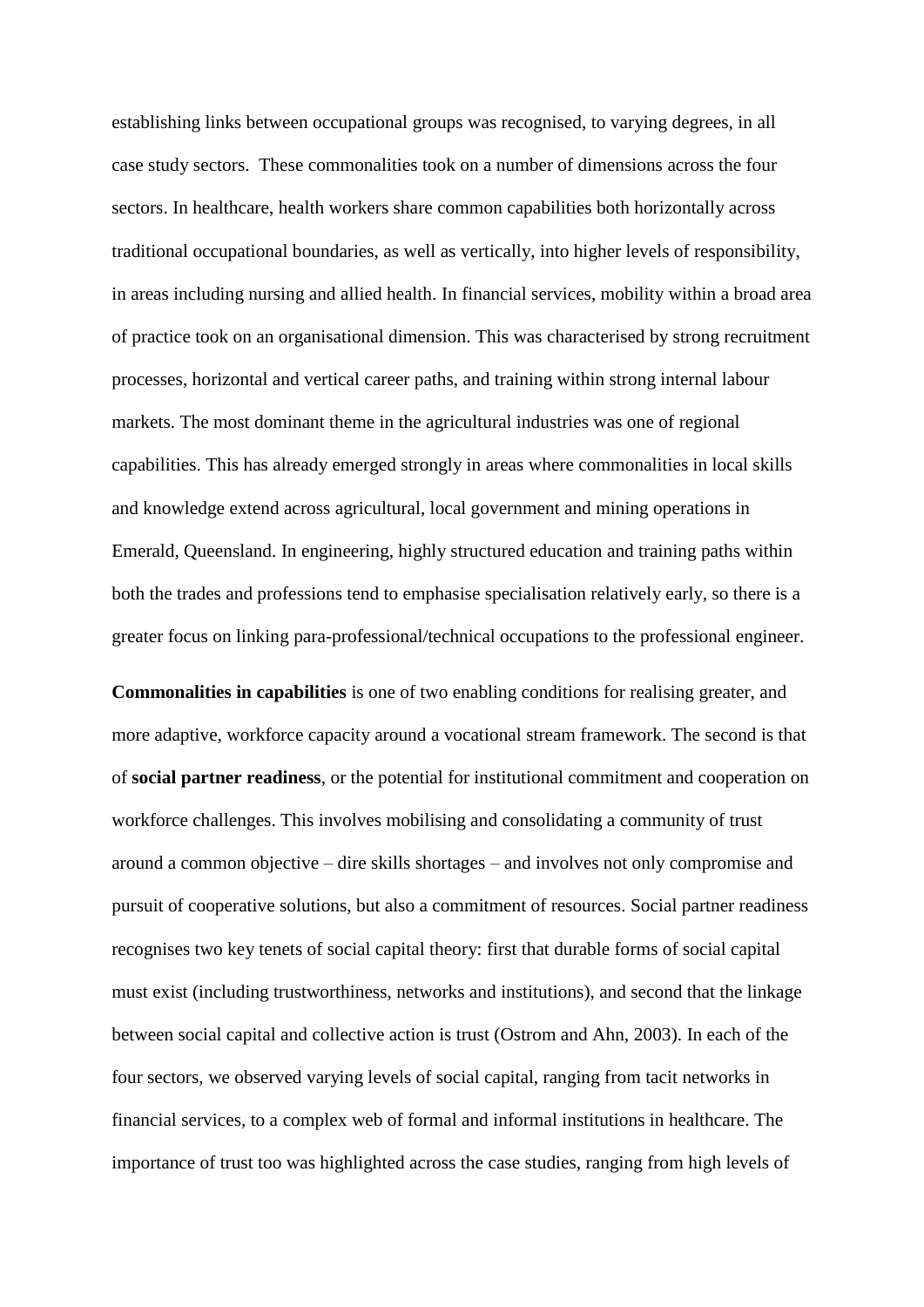establishing links between occupational groups was recognised, to varying degrees, in all case study sectors. These commonalities took on a number of dimensions across the four sectors. In healthcare, health workers share common capabilities both horizontally across traditional occupational boundaries, as well as vertically, into higher levels of responsibility, in areas including nursing and allied health. In financial services, mobility within a broad area of practice took on an organisational dimension. This was characterised by strong recruitment processes, horizontal and vertical career paths, and training within strong internal labour markets. The most dominant theme in the agricultural industries was one of regional capabilities. This has already emerged strongly in areas where commonalities in local skills and knowledge extend across agricultural, local government and mining operations in Emerald, Queensland. In engineering, highly structured education and training paths within both the trades and professions tend to emphasise specialisation relatively early, so there is a greater focus on linking para-professional/technical occupations to the professional engineer.

**Commonalities in capabilities** is one of two enabling conditions for realising greater, and more adaptive, workforce capacity around a vocational stream framework. The second is that of **social partner readiness**, or the potential for institutional commitment and cooperation on workforce challenges. This involves mobilising and consolidating a community of trust around a common objective – dire skills shortages – and involves not only compromise and pursuit of cooperative solutions, but also a commitment of resources. Social partner readiness recognises two key tenets of social capital theory: first that durable forms of social capital must exist (including trustworthiness, networks and institutions), and second that the linkage between social capital and collective action is trust (Ostrom and Ahn, 2003). In each of the four sectors, we observed varying levels of social capital, ranging from tacit networks in financial services, to a complex web of formal and informal institutions in healthcare. The importance of trust too was highlighted across the case studies, ranging from high levels of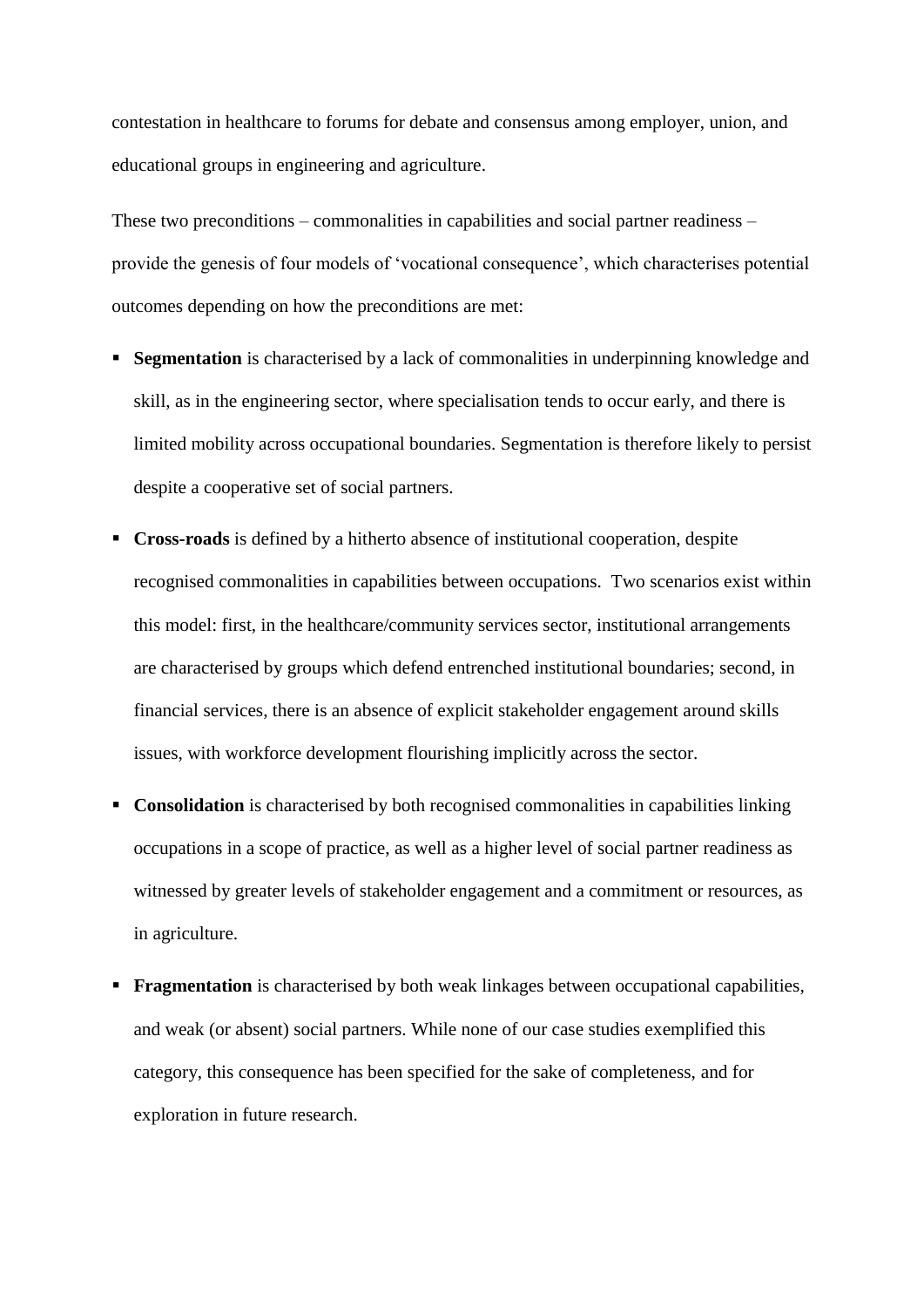contestation in healthcare to forums for debate and consensus among employer, union, and educational groups in engineering and agriculture.

These two preconditions – commonalities in capabilities and social partner readiness – provide the genesis of four models of 'vocational consequence', which characterises potential outcomes depending on how the preconditions are met:

- **Segmentation** is characterised by a lack of commonalities in underpinning knowledge and skill, as in the engineering sector, where specialisation tends to occur early, and there is limited mobility across occupational boundaries. Segmentation is therefore likely to persist despite a cooperative set of social partners.
- **Cross-roads** is defined by a hitherto absence of institutional cooperation, despite recognised commonalities in capabilities between occupations. Two scenarios exist within this model: first, in the healthcare/community services sector, institutional arrangements are characterised by groups which defend entrenched institutional boundaries; second, in financial services, there is an absence of explicit stakeholder engagement around skills issues, with workforce development flourishing implicitly across the sector.
- **Consolidation** is characterised by both recognised commonalities in capabilities linking occupations in a scope of practice, as well as a higher level of social partner readiness as witnessed by greater levels of stakeholder engagement and a commitment or resources, as in agriculture.
- **Fragmentation** is characterised by both weak linkages between occupational capabilities, and weak (or absent) social partners. While none of our case studies exemplified this category, this consequence has been specified for the sake of completeness, and for exploration in future research.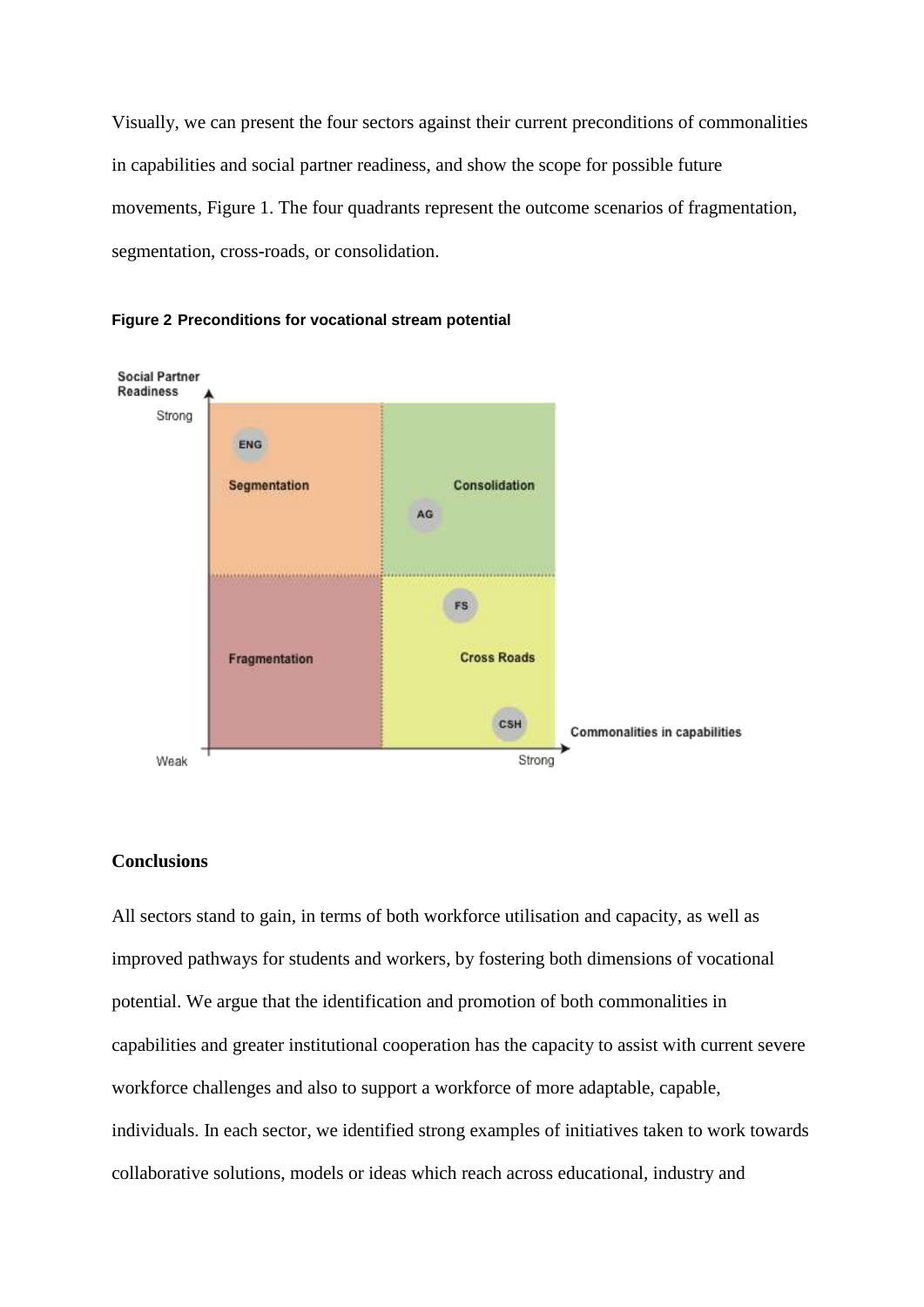Visually, we can present the four sectors against their current preconditions of commonalities in capabilities and social partner readiness, and show the scope for possible future movements, Figure 1. The four quadrants represent the outcome scenarios of fragmentation, segmentation, cross-roads, or consolidation.





# **Conclusions**

All sectors stand to gain, in terms of both workforce utilisation and capacity, as well as improved pathways for students and workers, by fostering both dimensions of vocational potential. We argue that the identification and promotion of both commonalities in capabilities and greater institutional cooperation has the capacity to assist with current severe workforce challenges and also to support a workforce of more adaptable, capable, individuals. In each sector, we identified strong examples of initiatives taken to work towards collaborative solutions, models or ideas which reach across educational, industry and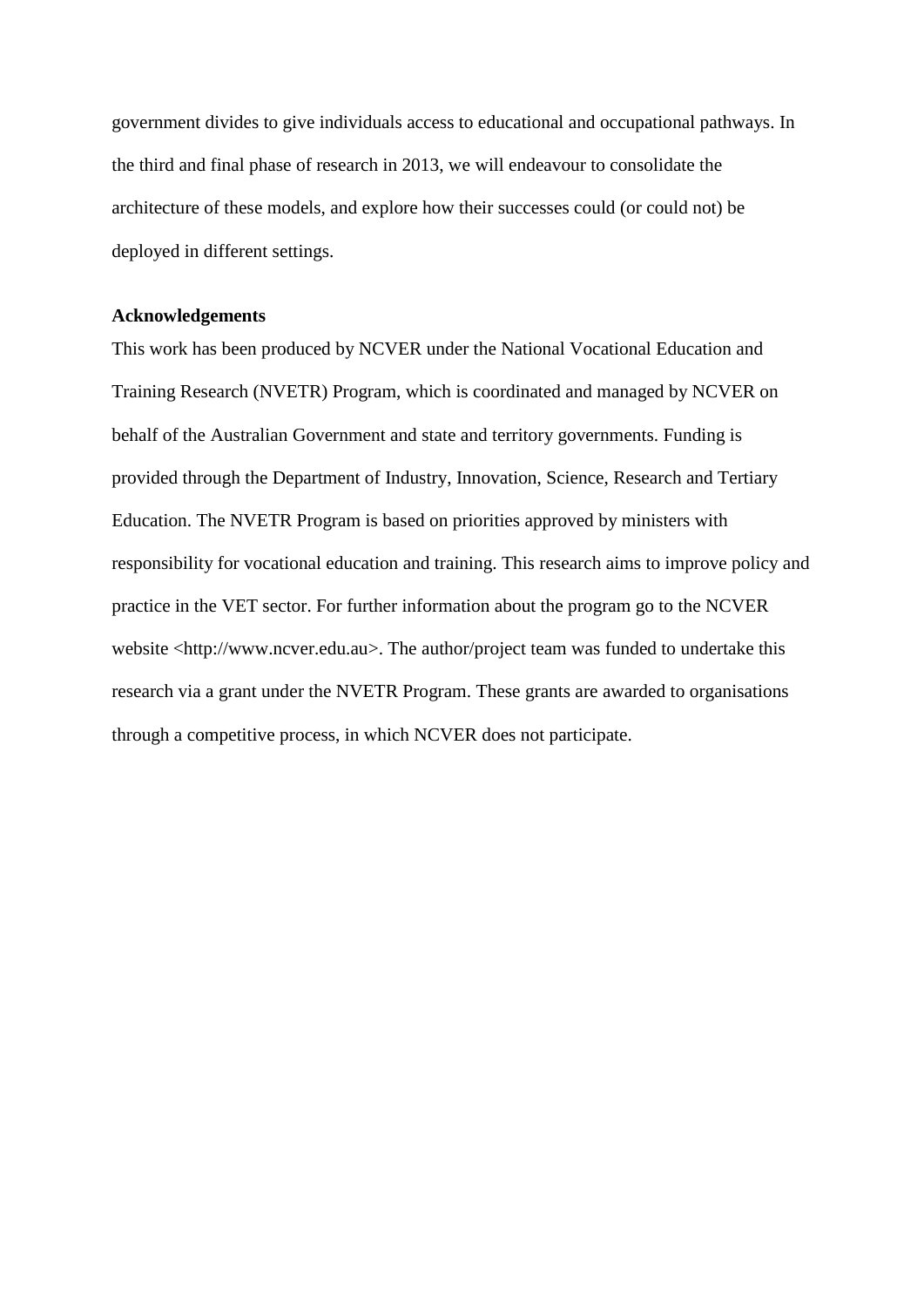government divides to give individuals access to educational and occupational pathways. In the third and final phase of research in 2013, we will endeavour to consolidate the architecture of these models, and explore how their successes could (or could not) be deployed in different settings.

# **Acknowledgements**

This work has been produced by NCVER under the National Vocational Education and Training Research (NVETR) Program, which is coordinated and managed by NCVER on behalf of the Australian Government and state and territory governments. Funding is provided through the Department of Industry, Innovation, Science, Research and Tertiary Education. The NVETR Program is based on priorities approved by ministers with responsibility for vocational education and training. This research aims to improve policy and practice in the VET sector. For further information about the program go to the NCVER website <http://www.ncver.edu.au>. The author/project team was funded to undertake this research via a grant under the NVETR Program. These grants are awarded to organisations through a competitive process, in which NCVER does not participate.